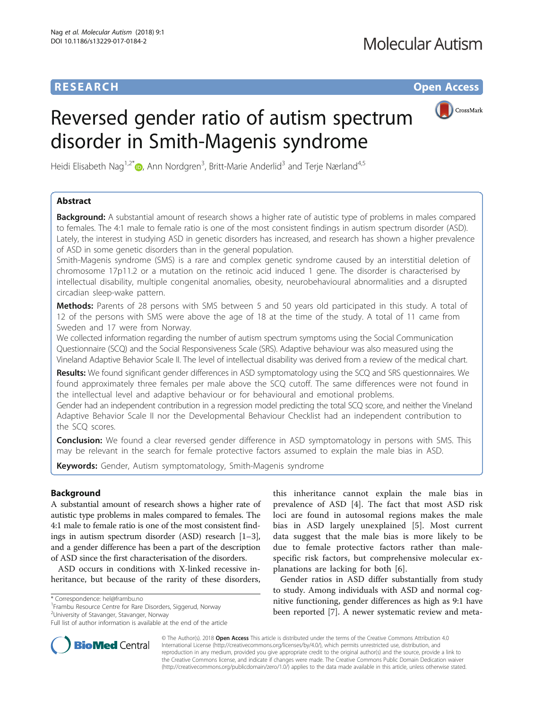# **RESEARCH CHE Open Access**



# Reversed gender ratio of autism spectrum disorder in Smith-Magenis syndrome

Heidi Elisabeth Nag<sup>1,2[\\*](http://orcid.org/0000-0003-3556-4597)</sup>®, Ann Nordgren<sup>3</sup>, Britt-Marie Anderlid<sup>3</sup> and Terje Nærland<sup>4,5</sup>

# Abstract

**Background:** A substantial amount of research shows a higher rate of autistic type of problems in males compared to females. The 4:1 male to female ratio is one of the most consistent findings in autism spectrum disorder (ASD). Lately, the interest in studying ASD in genetic disorders has increased, and research has shown a higher prevalence of ASD in some genetic disorders than in the general population.

Smith-Magenis syndrome (SMS) is a rare and complex genetic syndrome caused by an interstitial deletion of chromosome 17p11.2 or a mutation on the retinoic acid induced 1 gene. The disorder is characterised by intellectual disability, multiple congenital anomalies, obesity, neurobehavioural abnormalities and a disrupted circadian sleep-wake pattern.

**Methods:** Parents of 28 persons with SMS between 5 and 50 years old participated in this study. A total of 12 of the persons with SMS were above the age of 18 at the time of the study. A total of 11 came from Sweden and 17 were from Norway.

We collected information regarding the number of autism spectrum symptoms using the Social Communication Questionnaire (SCQ) and the Social Responsiveness Scale (SRS). Adaptive behaviour was also measured using the Vineland Adaptive Behavior Scale II. The level of intellectual disability was derived from a review of the medical chart.

Results: We found significant gender differences in ASD symptomatology using the SCQ and SRS questionnaires. We found approximately three females per male above the SCQ cutoff. The same differences were not found in the intellectual level and adaptive behaviour or for behavioural and emotional problems.

Gender had an independent contribution in a regression model predicting the total SCQ score, and neither the Vineland Adaptive Behavior Scale II nor the Developmental Behaviour Checklist had an independent contribution to the SCQ scores.

**Conclusion:** We found a clear reversed gender difference in ASD symptomatology in persons with SMS. This may be relevant in the search for female protective factors assumed to explain the male bias in ASD.

Keywords: Gender, Autism symptomatology, Smith-Magenis syndrome

# Background

A substantial amount of research shows a higher rate of autistic type problems in males compared to females. The 4:1 male to female ratio is one of the most consistent findings in autism spectrum disorder (ASD) research [[1](#page-8-0)–[3](#page-8-0)], and a gender difference has been a part of the description of ASD since the first characterisation of the disorders.

ASD occurs in conditions with X-linked recessive inheritance, but because of the rarity of these disorders,

\* Correspondence: [hel@frambu.no](mailto:hel@frambu.no) <sup>1</sup>

<sup>1</sup> Frambu Resource Centre for Rare Disorders, Siggerud, Norway

<sup>2</sup>University of Stavanger, Stavanger, Norway



Gender ratios in ASD differ substantially from study to study. Among individuals with ASD and normal cognitive functioning, gender differences as high as 9:1 have been reported [[7\]](#page-8-0). A newer systematic review and meta-



© The Author(s). 2018 Open Access This article is distributed under the terms of the Creative Commons Attribution 4.0 International License [\(http://creativecommons.org/licenses/by/4.0/](http://creativecommons.org/licenses/by/4.0/)), which permits unrestricted use, distribution, and reproduction in any medium, provided you give appropriate credit to the original author(s) and the source, provide a link to the Creative Commons license, and indicate if changes were made. The Creative Commons Public Domain Dedication waiver [\(http://creativecommons.org/publicdomain/zero/1.0/](http://creativecommons.org/publicdomain/zero/1.0/)) applies to the data made available in this article, unless otherwise stated.

Full list of author information is available at the end of the article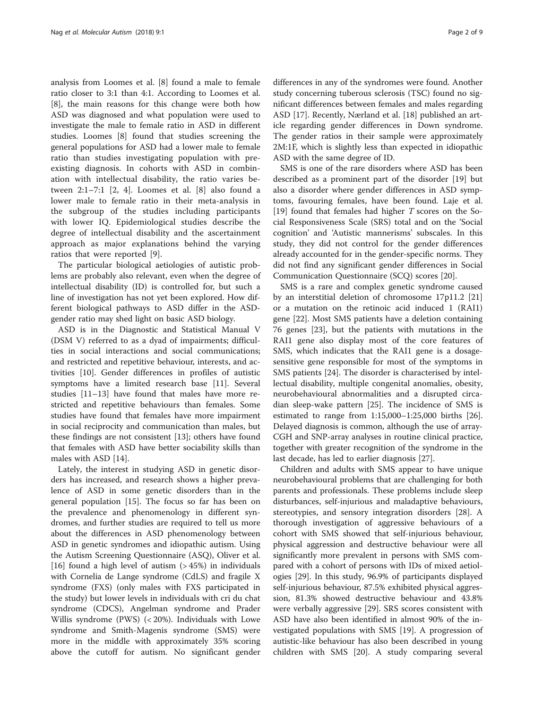analysis from Loomes et al. [[8\]](#page-8-0) found a male to female ratio closer to 3:1 than 4:1. According to Loomes et al. [[8\]](#page-8-0), the main reasons for this change were both how ASD was diagnosed and what population were used to investigate the male to female ratio in ASD in different studies. Loomes [[8\]](#page-8-0) found that studies screening the general populations for ASD had a lower male to female ratio than studies investigating population with preexisting diagnosis. In cohorts with ASD in combination with intellectual disability, the ratio varies between 2:1–7:1 [\[2](#page-8-0), [4\]](#page-8-0). Loomes et al. [[8\]](#page-8-0) also found a lower male to female ratio in their meta-analysis in the subgroup of the studies including participants with lower IQ. Epidemiological studies describe the degree of intellectual disability and the ascertainment approach as major explanations behind the varying ratios that were reported [[9\]](#page-8-0).

The particular biological aetiologies of autistic problems are probably also relevant, even when the degree of intellectual disability (ID) is controlled for, but such a line of investigation has not yet been explored. How different biological pathways to ASD differ in the ASDgender ratio may shed light on basic ASD biology.

ASD is in the Diagnostic and Statistical Manual V (DSM V) referred to as a dyad of impairments; difficulties in social interactions and social communications; and restricted and repetitive behaviour, interests, and activities [\[10\]](#page-8-0). Gender differences in profiles of autistic symptoms have a limited research base [\[11](#page-8-0)]. Several studies [\[11](#page-8-0)–[13\]](#page-8-0) have found that males have more restricted and repetitive behaviours than females. Some studies have found that females have more impairment in social reciprocity and communication than males, but these findings are not consistent [[13](#page-8-0)]; others have found that females with ASD have better sociability skills than males with ASD [\[14\]](#page-8-0).

Lately, the interest in studying ASD in genetic disorders has increased, and research shows a higher prevalence of ASD in some genetic disorders than in the general population [[15](#page-8-0)]. The focus so far has been on the prevalence and phenomenology in different syndromes, and further studies are required to tell us more about the differences in ASD phenomenology between ASD in genetic syndromes and idiopathic autism. Using the Autism Screening Questionnaire (ASQ), Oliver et al. [[16\]](#page-8-0) found a high level of autism  $(>45%)$  in individuals with Cornelia de Lange syndrome (CdLS) and fragile X syndrome (FXS) (only males with FXS participated in the study) but lower levels in individuals with cri du chat syndrome (CDCS), Angelman syndrome and Prader Willis syndrome (PWS) (< 20%). Individuals with Lowe syndrome and Smith-Magenis syndrome (SMS) were more in the middle with approximately 35% scoring above the cutoff for autism. No significant gender

differences in any of the syndromes were found. Another study concerning tuberous sclerosis (TSC) found no significant differences between females and males regarding ASD [\[17\]](#page-8-0). Recently, Nærland et al. [[18\]](#page-8-0) published an article regarding gender differences in Down syndrome. The gender ratios in their sample were approximately 2M:1F, which is slightly less than expected in idiopathic ASD with the same degree of ID.

SMS is one of the rare disorders where ASD has been described as a prominent part of the disorder [[19\]](#page-8-0) but also a disorder where gender differences in ASD symptoms, favouring females, have been found. Laje et al. [[19\]](#page-8-0) found that females had higher  $T$  scores on the Social Responsiveness Scale (SRS) total and on the 'Social cognition' and 'Autistic mannerisms' subscales. In this study, they did not control for the gender differences already accounted for in the gender-specific norms. They did not find any significant gender differences in Social Communication Questionnaire (SCQ) scores [[20\]](#page-8-0).

SMS is a rare and complex genetic syndrome caused by an interstitial deletion of chromosome 17p11.2 [[21](#page-8-0)] or a mutation on the retinoic acid induced 1 (RAI1) gene [[22\]](#page-8-0). Most SMS patients have a deletion containing 76 genes [\[23](#page-8-0)], but the patients with mutations in the RAI1 gene also display most of the core features of SMS, which indicates that the RAI1 gene is a dosagesensitive gene responsible for most of the symptoms in SMS patients [[24\]](#page-8-0). The disorder is characterised by intellectual disability, multiple congenital anomalies, obesity, neurobehavioural abnormalities and a disrupted circadian sleep-wake pattern [[25\]](#page-8-0). The incidence of SMS is estimated to range from 1:15,000–1:25,000 births [\[26](#page-8-0)]. Delayed diagnosis is common, although the use of array-CGH and SNP-array analyses in routine clinical practice, together with greater recognition of the syndrome in the last decade, has led to earlier diagnosis [[27\]](#page-8-0).

Children and adults with SMS appear to have unique neurobehavioural problems that are challenging for both parents and professionals. These problems include sleep disturbances, self-injurious and maladaptive behaviours, stereotypies, and sensory integration disorders [\[28](#page-8-0)]. A thorough investigation of aggressive behaviours of a cohort with SMS showed that self-injurious behaviour, physical aggression and destructive behaviour were all significantly more prevalent in persons with SMS compared with a cohort of persons with IDs of mixed aetiologies [\[29\]](#page-8-0). In this study, 96.9% of participants displayed self-injurious behaviour, 87.5% exhibited physical aggression, 81.3% showed destructive behaviour and 43.8% were verbally aggressive [[29\]](#page-8-0). SRS scores consistent with ASD have also been identified in almost 90% of the investigated populations with SMS [\[19\]](#page-8-0). A progression of autistic-like behaviour has also been described in young children with SMS [[20](#page-8-0)]. A study comparing several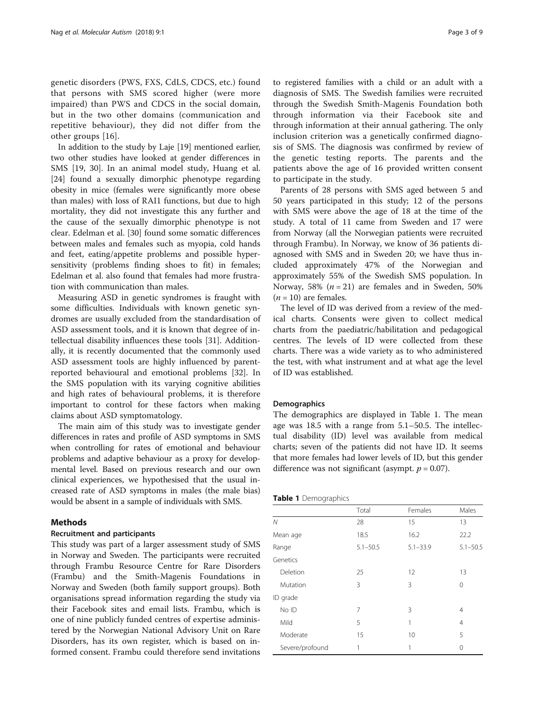genetic disorders (PWS, FXS, CdLS, CDCS, etc.) found that persons with SMS scored higher (were more impaired) than PWS and CDCS in the social domain, but in the two other domains (communication and repetitive behaviour), they did not differ from the other groups [[16\]](#page-8-0).

In addition to the study by Laje [[19](#page-8-0)] mentioned earlier, two other studies have looked at gender differences in SMS [\[19](#page-8-0), [30\]](#page-8-0). In an animal model study, Huang et al. [[24\]](#page-8-0) found a sexually dimorphic phenotype regarding obesity in mice (females were significantly more obese than males) with loss of RAI1 functions, but due to high mortality, they did not investigate this any further and the cause of the sexually dimorphic phenotype is not clear. Edelman et al. [\[30\]](#page-8-0) found some somatic differences between males and females such as myopia, cold hands and feet, eating/appetite problems and possible hypersensitivity (problems finding shoes to fit) in females; Edelman et al. also found that females had more frustration with communication than males.

Measuring ASD in genetic syndromes is fraught with some difficulties. Individuals with known genetic syndromes are usually excluded from the standardisation of ASD assessment tools, and it is known that degree of intellectual disability influences these tools [\[31\]](#page-8-0). Additionally, it is recently documented that the commonly used ASD assessment tools are highly influenced by parentreported behavioural and emotional problems [[32](#page-8-0)]. In the SMS population with its varying cognitive abilities and high rates of behavioural problems, it is therefore important to control for these factors when making claims about ASD symptomatology.

The main aim of this study was to investigate gender differences in rates and profile of ASD symptoms in SMS when controlling for rates of emotional and behaviour problems and adaptive behaviour as a proxy for developmental level. Based on previous research and our own clinical experiences, we hypothesised that the usual increased rate of ASD symptoms in males (the male bias) would be absent in a sample of individuals with SMS.

# Methods

## Recruitment and participants

This study was part of a larger assessment study of SMS in Norway and Sweden. The participants were recruited through Frambu Resource Centre for Rare Disorders (Frambu) and the Smith-Magenis Foundations in Norway and Sweden (both family support groups). Both organisations spread information regarding the study via their Facebook sites and email lists. Frambu, which is one of nine publicly funded centres of expertise administered by the Norwegian National Advisory Unit on Rare Disorders, has its own register, which is based on informed consent. Frambu could therefore send invitations to registered families with a child or an adult with a diagnosis of SMS. The Swedish families were recruited through the Swedish Smith-Magenis Foundation both through information via their Facebook site and through information at their annual gathering. The only inclusion criterion was a genetically confirmed diagnosis of SMS. The diagnosis was confirmed by review of the genetic testing reports. The parents and the patients above the age of 16 provided written consent to participate in the study.

Parents of 28 persons with SMS aged between 5 and 50 years participated in this study; 12 of the persons with SMS were above the age of 18 at the time of the study. A total of 11 came from Sweden and 17 were from Norway (all the Norwegian patients were recruited through Frambu). In Norway, we know of 36 patients diagnosed with SMS and in Sweden 20; we have thus included approximately 47% of the Norwegian and approximately 55% of the Swedish SMS population. In Norway, 58%  $(n = 21)$  are females and in Sweden, 50%  $(n = 10)$  are females.

The level of ID was derived from a review of the medical charts. Consents were given to collect medical charts from the paediatric/habilitation and pedagogical centres. The levels of ID were collected from these charts. There was a wide variety as to who administered the test, with what instrument and at what age the level of ID was established.

# **Demographics**

The demographics are displayed in Table 1. The mean age was 18.5 with a range from 5.1–50.5. The intellectual disability (ID) level was available from medical charts; seven of the patients did not have ID. It seems that more females had lower levels of ID, but this gender difference was not significant (asympt.  $p = 0.07$ ).

|  | Table 1 Demographics |  |
|--|----------------------|--|
|--|----------------------|--|

|                 | Total        | Females      | Males          |
|-----------------|--------------|--------------|----------------|
| N               | 28           | 15           | 13             |
| Mean age        | 18.5         | 16.2         | 22.2           |
| Range           | $5.1 - 50.5$ | $5.1 - 33.9$ | $5.1 - 50.5$   |
| Genetics        |              |              |                |
| Deletion        | 25           | 12           | 13             |
| Mutation        | 3            | 3            | $\Omega$       |
| ID grade        |              |              |                |
| No ID           | 7            | 3            | $\overline{4}$ |
| Mild            | 5            | 1            | $\overline{4}$ |
| Moderate        | 15           | 10           | 5              |
| Severe/profound | 1            | 1            | $\Omega$       |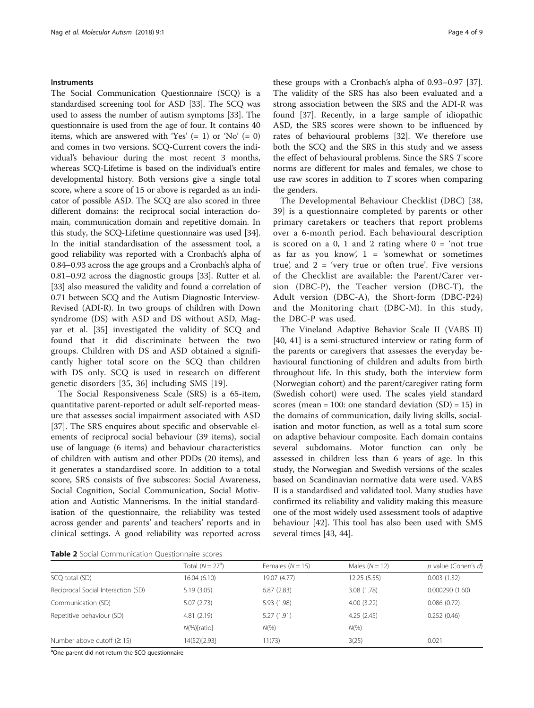# <span id="page-3-0"></span>Instruments

The Social Communication Questionnaire (SCQ) is a standardised screening tool for ASD [[33](#page-8-0)]. The SCQ was used to assess the number of autism symptoms [\[33](#page-8-0)]. The questionnaire is used from the age of four. It contains 40 items, which are answered with 'Yes'  $(= 1)$  or 'No'  $(= 0)$ and comes in two versions. SCQ-Current covers the individual's behaviour during the most recent 3 months, whereas SCQ-Lifetime is based on the individual's entire developmental history. Both versions give a single total score, where a score of 15 or above is regarded as an indicator of possible ASD. The SCQ are also scored in three different domains: the reciprocal social interaction domain, communication domain and repetitive domain. In this study, the SCQ-Lifetime questionnaire was used [[34](#page-8-0)]. In the initial standardisation of the assessment tool, a good reliability was reported with a Cronbach's alpha of 0.84–0.93 across the age groups and a Cronbach's alpha of 0.81–0.92 across the diagnostic groups [[33](#page-8-0)]. Rutter et al. [[33](#page-8-0)] also measured the validity and found a correlation of 0.71 between SCQ and the Autism Diagnostic Interview-Revised (ADI-R). In two groups of children with Down syndrome (DS) with ASD and DS without ASD, Magyar et al. [\[35](#page-8-0)] investigated the validity of SCQ and found that it did discriminate between the two groups. Children with DS and ASD obtained a significantly higher total score on the SCQ than children with DS only. SCQ is used in research on different genetic disorders [[35, 36\]](#page-8-0) including SMS [[19](#page-8-0)].

The Social Responsiveness Scale (SRS) is a 65-item, quantitative parent-reported or adult self-reported measure that assesses social impairment associated with ASD [[37\]](#page-8-0). The SRS enquires about specific and observable elements of reciprocal social behaviour (39 items), social use of language (6 items) and behaviour characteristics of children with autism and other PDDs (20 items), and it generates a standardised score. In addition to a total score, SRS consists of five subscores: Social Awareness, Social Cognition, Social Communication, Social Motivation and Autistic Mannerisms. In the initial standardisation of the questionnaire, the reliability was tested across gender and parents' and teachers' reports and in clinical settings. A good reliability was reported across

these groups with a Cronbach's alpha of 0.93–0.97 [\[37](#page-8-0)]. The validity of the SRS has also been evaluated and a strong association between the SRS and the ADI-R was found [\[37](#page-8-0)]. Recently, in a large sample of idiopathic ASD, the SRS scores were shown to be influenced by rates of behavioural problems [\[32](#page-8-0)]. We therefore use both the SCQ and the SRS in this study and we assess the effect of behavioural problems. Since the SRS T score norms are different for males and females, we chose to use raw scores in addition to  $T$  scores when comparing the genders.

The Developmental Behaviour Checklist (DBC) [\[38](#page-8-0), [39\]](#page-8-0) is a questionnaire completed by parents or other primary caretakers or teachers that report problems over a 6-month period. Each behavioural description is scored on a 0, 1 and 2 rating where  $0 = 'not$  true as far as you know,  $1 =$  'somewhat or sometimes true', and  $2 = 'very true or often true'. Five versions$ of the Checklist are available: the Parent/Carer version (DBC-P), the Teacher version (DBC-T), the Adult version (DBC-A), the Short-form (DBC-P24) and the Monitoring chart (DBC-M). In this study, the DBC-P was used.

The Vineland Adaptive Behavior Scale II (VABS II) [[40, 41](#page-8-0)] is a semi-structured interview or rating form of the parents or caregivers that assesses the everyday behavioural functioning of children and adults from birth throughout life. In this study, both the interview form (Norwegian cohort) and the parent/caregiver rating form (Swedish cohort) were used. The scales yield standard scores (mean = 100: one standard deviation  $(SD) = 15$ ) in the domains of communication, daily living skills, socialisation and motor function, as well as a total sum score on adaptive behaviour composite. Each domain contains several subdomains. Motor function can only be assessed in children less than 6 years of age. In this study, the Norwegian and Swedish versions of the scales based on Scandinavian normative data were used. VABS II is a standardised and validated tool. Many studies have confirmed its reliability and validity making this measure one of the most widely used assessment tools of adaptive behaviour [\[42](#page-8-0)]. This tool has also been used with SMS several times [[43](#page-8-0), [44](#page-8-0)].

Table 2 Social Communication Questionnaire scores

|                                    | Total $(N = 27^a)$     | Females $(N = 15)$ | Males $(N = 12)$   | p value (Cohen's d) |
|------------------------------------|------------------------|--------------------|--------------------|---------------------|
| SCQ total (SD)                     | 16.04(6.10)            | 19.07 (4.77)       | 12.25(5.55)        | 0.003(1.32)         |
| Reciprocal Social Interaction (SD) | 5.19(3.05)             | 6.87(2.83)         | 3.08(1.78)         | 0.000290(1.60)      |
| Communication (SD)                 | 5.07(2.73)             | 5.93 (1.98)        | 4.00(3.22)         | 0.086(0.72)         |
| Repetitive behaviour (SD)          | 4.81(2.19)             | 5.27 (1.91)        | 4.25(2.45)         | 0.252(0.46)         |
|                                    | $N\frac{9}{6}$ [ratio] | $N(\% )$           | $N\left(\%\right)$ |                     |
| Number above cutoff $(≥ 15)$       | 14(52)[2.93]           | 11(73)             | 3(25)              | 0.021               |

<sup>a</sup>One parent did not return the SCQ questionnaire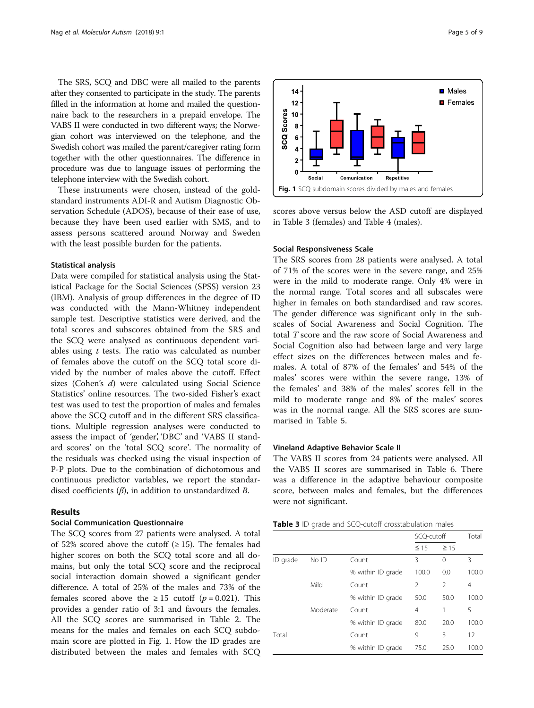The SRS, SCQ and DBC were all mailed to the parents after they consented to participate in the study. The parents filled in the information at home and mailed the questionnaire back to the researchers in a prepaid envelope. The VABS II were conducted in two different ways; the Norwegian cohort was interviewed on the telephone, and the Swedish cohort was mailed the parent/caregiver rating form together with the other questionnaires. The difference in procedure was due to language issues of performing the telephone interview with the Swedish cohort.

These instruments were chosen, instead of the goldstandard instruments ADI-R and Autism Diagnostic Observation Schedule (ADOS), because of their ease of use, because they have been used earlier with SMS, and to assess persons scattered around Norway and Sweden with the least possible burden for the patients.

#### Statistical analysis

Data were compiled for statistical analysis using the Statistical Package for the Social Sciences (SPSS) version 23 (IBM). Analysis of group differences in the degree of ID was conducted with the Mann-Whitney independent sample test. Descriptive statistics were derived, and the total scores and subscores obtained from the SRS and the SCQ were analysed as continuous dependent variables using  $t$  tests. The ratio was calculated as number of females above the cutoff on the SCQ total score divided by the number of males above the cutoff. Effect sizes (Cohen's d) were calculated using Social Science Statistics' online resources. The two-sided Fisher's exact test was used to test the proportion of males and females above the SCQ cutoff and in the different SRS classifications. Multiple regression analyses were conducted to assess the impact of 'gender', 'DBC' and 'VABS II standard scores' on the 'total SCQ score'. The normality of the residuals was checked using the visual inspection of P-P plots. Due to the combination of dichotomous and continuous predictor variables, we report the standardised coefficients  $(\beta)$ , in addition to unstandardized B.

# Results

# Social Communication Questionnaire

The SCQ scores from 27 patients were analysed. A total of 52% scored above the cutoff  $(\geq 15)$ . The females had higher scores on both the SCQ total score and all domains, but only the total SCQ score and the reciprocal social interaction domain showed a significant gender difference. A total of 25% of the males and 73% of the females scored above the  $\geq 15$  cutoff ( $p = 0.021$ ). This provides a gender ratio of 3:1 and favours the females. All the SCQ scores are summarised in Table [2.](#page-3-0) The means for the males and females on each SCQ subdomain score are plotted in Fig. 1. How the ID grades are distributed between the males and females with SCQ



scores above versus below the ASD cutoff are displayed in Table 3 (females) and Table [4](#page-5-0) (males).

## Social Responsiveness Scale

The SRS scores from 28 patients were analysed. A total of 71% of the scores were in the severe range, and 25% were in the mild to moderate range. Only 4% were in the normal range. Total scores and all subscales were higher in females on both standardised and raw scores. The gender difference was significant only in the subscales of Social Awareness and Social Cognition. The total T score and the raw score of Social Awareness and Social Cognition also had between large and very large effect sizes on the differences between males and females. A total of 87% of the females' and 54% of the males' scores were within the severe range, 13% of the females' and 38% of the males' scores fell in the mild to moderate range and 8% of the males' scores was in the normal range. All the SRS scores are summarised in Table [5](#page-5-0).

## Vineland Adaptive Behavior Scale II

The VABS II scores from 24 patients were analysed. All the VABS II scores are summarised in Table [6](#page-6-0). There was a difference in the adaptive behaviour composite score, between males and females, but the differences were not significant.

|  |  |  | <b>Table 3</b> ID grade and SCQ-cutoff crosstabulation males |  |
|--|--|--|--------------------------------------------------------------|--|
|--|--|--|--------------------------------------------------------------|--|

|          |          |                   |           | SCQ-cutoff |       |
|----------|----------|-------------------|-----------|------------|-------|
|          |          |                   | $\leq$ 15 | $\geq$ 15  |       |
| ID grade | No ID    | Count             | 3         | $\Omega$   | 3     |
|          |          | % within ID grade | 100.0     | 0.0        | 100.0 |
|          | Mild     | Count             | 2         | 2          | 4     |
|          |          | % within ID grade | 50.0      | 50.0       | 100.0 |
|          | Moderate | Count             | 4         | 1          | 5     |
|          |          | % within ID grade | 80.0      | 20.0       | 100.0 |
| Total    |          | Count             | 9         | 3          | 12    |
|          |          | % within ID grade | 75.0      | 25.0       | 100.0 |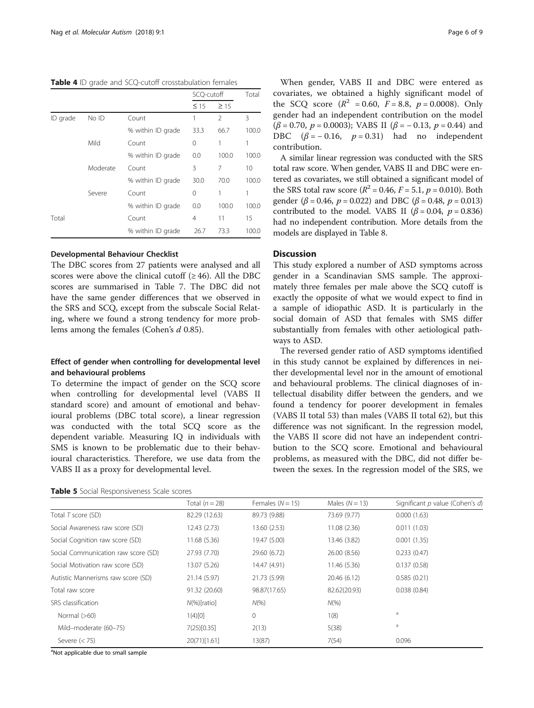<span id="page-5-0"></span>Table 4 ID grade and SCQ-cutoff crosstabulation females

|          |          |                   | SCQ-cutoff |                | Total |
|----------|----------|-------------------|------------|----------------|-------|
|          |          |                   | $\leq$ 15  | $\geq$ 15      |       |
| ID grade | No ID    | Count             | 1          | $\mathfrak{D}$ | 3     |
|          |          | % within ID grade | 33.3       | 66.7           | 100.0 |
|          | Mild     | Count             | 0          | 1              | 1     |
|          |          | % within ID grade | 0.0        | 100.0          | 100.0 |
|          | Moderate | Count             | 3          | 7              | 10    |
|          |          | % within ID grade | 30.0       | 70.0           | 100.0 |
|          | Severe   | Count             | 0          | 1              | 1     |
|          |          | % within ID grade | 0.0        | 100.0          | 100.0 |
| Total    |          | Count             | 4          | 11             | 15    |
|          |          | % within ID grade | 26.7       | 73.3           | 100.0 |

# Developmental Behaviour Checklist

The DBC scores from 27 patients were analysed and all scores were above the clinical cutoff  $(\geq 46)$ . All the DBC scores are summarised in Table [7.](#page-6-0) The DBC did not have the same gender differences that we observed in the SRS and SCQ, except from the subscale Social Relating, where we found a strong tendency for more problems among the females (Cohen's d 0.85).

# Effect of gender when controlling for developmental level and behavioural problems

To determine the impact of gender on the SCQ score when controlling for developmental level (VABS II standard score) and amount of emotional and behavioural problems (DBC total score), a linear regression was conducted with the total SCQ score as the dependent variable. Measuring IQ in individuals with SMS is known to be problematic due to their behavioural characteristics. Therefore, we use data from the VABS II as a proxy for developmental level.

Table 5 Social Responsiveness Scale scores

When gender, VABS II and DBC were entered as covariates, we obtained a highly significant model of the SCQ score  $(R^2 = 0.60, F = 8.8, p = 0.0008)$ . Only gender had an independent contribution on the model  $(\beta = 0.70, p = 0.0003)$ ; VABS II ( $\beta = -0.13, p = 0.44$ ) and DBC  $(\beta = -0.16, p = 0.31)$  had no independent contribution.

A similar linear regression was conducted with the SRS total raw score. When gender, VABS II and DBC were entered as covariates, we still obtained a significant model of the SRS total raw score ( $R^2 = 0.46$ ,  $F = 5.1$ ,  $p = 0.010$ ). Both gender ( $\beta$  = 0.46,  $p$  = 0.022) and DBC ( $\beta$  = 0.48,  $p$  = 0.013) contributed to the model. VABS II ( $\beta$  = 0.04,  $p$  = 0.836) had no independent contribution. More details from the models are displayed in Table [8](#page-7-0).

# **Discussion**

This study explored a number of ASD symptoms across gender in a Scandinavian SMS sample. The approximately three females per male above the SCQ cutoff is exactly the opposite of what we would expect to find in a sample of idiopathic ASD. It is particularly in the social domain of ASD that females with SMS differ substantially from females with other aetiological pathways to ASD.

The reversed gender ratio of ASD symptoms identified in this study cannot be explained by differences in neither developmental level nor in the amount of emotional and behavioural problems. The clinical diagnoses of intellectual disability differ between the genders, and we found a tendency for poorer development in females (VABS II total 53) than males (VABS II total 62), but this difference was not significant. In the regression model, the VABS II score did not have an independent contribution to the SCQ score. Emotional and behavioural problems, as measured with the DBC, did not differ between the sexes. In the regression model of the SRS, we

|                                     | Total $(n = 28)$       | Females $(N = 15)$ | Males $(N = 13)$ | Significant p value (Cohen's d) |
|-------------------------------------|------------------------|--------------------|------------------|---------------------------------|
| Total T score (SD)                  | 82.29 (12.63)          | 89.73 (9.88)       | 73.69 (9.77)     | 0.000(1.63)                     |
| Social Awareness raw score (SD)     | 12.43(2.73)            | 13.60 (2.53)       | 11.08 (2.36)     | 0.011(1.03)                     |
| Social Cognition raw score (SD)     | 11.68 (5.36)           | 19.47 (5.00)       | 13.46 (3.82)     | 0.001(1.35)                     |
| Social Communication raw score (SD) | 27.93 (7.70)           | 29.60 (6.72)       | 26.00 (8.56)     | 0.233(0.47)                     |
| Social Motivation raw score (SD)    | 13.07 (5.26)           | 14.47 (4.91)       | 11.46 (5.36)     | 0.137(0.58)                     |
| Autistic Mannerisms raw score (SD)  | 21.14 (5.97)           | 21.73 (5.99)       | 20.46 (6.12)     | 0.585(0.21)                     |
| Total raw score                     | 91.32 (20.60)          | 98.87(17.65)       | 82.62(20.93)     | 0.038(0.84)                     |
| SRS classification                  | $N\frac{9}{6}$ [ratio] | $N\left(\%\right)$ | $N\frac{6}{6}$   |                                 |
| Normal $(>60)$                      | 1(4)[0]                | $\circ$            | 1(8)             | a                               |
| Mild-moderate (60-75)               | 7(25)[0.35]            | 2(13)              | 5(38)            | a                               |
| Severe $(< 75)$                     | 20(71)[1.61]           | 13(87)             | 7(54)            | 0.096                           |

<sup>a</sup>Not applicable due to small sample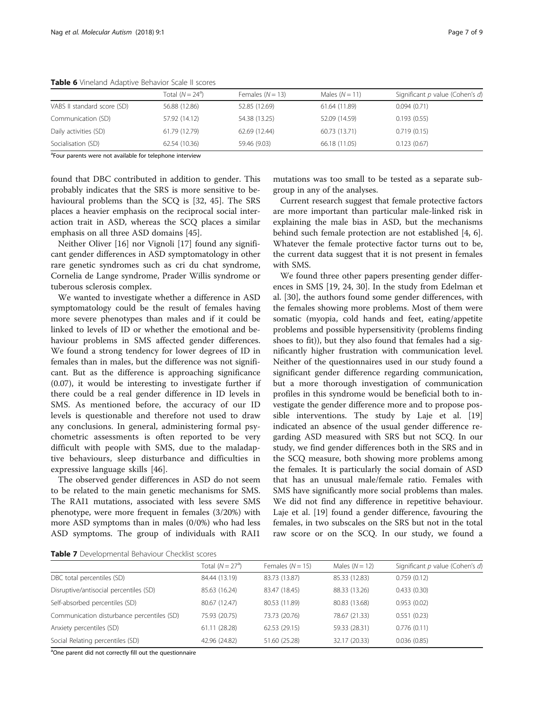|                             | Total $(N = 24^{\circ})$ | Females $(N = 13)$ | Males $(N = 11)$ | Significant p value (Cohen's d) |
|-----------------------------|--------------------------|--------------------|------------------|---------------------------------|
| VABS II standard score (SD) | 56.88 (12.86)            | 52.85 (12.69)      | 61.64 (11.89)    | 0.094(0.71)                     |
| Communication (SD)          | 57.92 (14.12)            | 54.38 (13.25)      | 52.09 (14.59)    | 0.193(0.55)                     |
| Daily activities (SD)       | 61.79 (12.79)            | 62.69 (12.44)      | 60.73 (13.71)    | 0.719(0.15)                     |
| Socialisation (SD)          | 62.54 (10.36)            | 59.46 (9.03)       | 66.18 (11.05)    | 0.123(0.67)                     |

<span id="page-6-0"></span>Table 6 Vineland Adaptive Behavior Scale II scores

<sup>a</sup>Four parents were not available for telephone interview

found that DBC contributed in addition to gender. This probably indicates that the SRS is more sensitive to behavioural problems than the SCQ is [\[32](#page-8-0), [45](#page-8-0)]. The SRS places a heavier emphasis on the reciprocal social interaction trait in ASD, whereas the SCQ places a similar emphasis on all three ASD domains [\[45\]](#page-8-0).

Neither Oliver [\[16\]](#page-8-0) nor Vignoli [\[17\]](#page-8-0) found any significant gender differences in ASD symptomatology in other rare genetic syndromes such as cri du chat syndrome, Cornelia de Lange syndrome, Prader Willis syndrome or tuberous sclerosis complex.

We wanted to investigate whether a difference in ASD symptomatology could be the result of females having more severe phenotypes than males and if it could be linked to levels of ID or whether the emotional and behaviour problems in SMS affected gender differences. We found a strong tendency for lower degrees of ID in females than in males, but the difference was not significant. But as the difference is approaching significance (0.07), it would be interesting to investigate further if there could be a real gender difference in ID levels in SMS. As mentioned before, the accuracy of our ID levels is questionable and therefore not used to draw any conclusions. In general, administering formal psychometric assessments is often reported to be very difficult with people with SMS, due to the maladaptive behaviours, sleep disturbance and difficulties in expressive language skills [\[46](#page-8-0)].

The observed gender differences in ASD do not seem to be related to the main genetic mechanisms for SMS. The RAI1 mutations, associated with less severe SMS phenotype, were more frequent in females (3/20%) with more ASD symptoms than in males (0/0%) who had less ASD symptoms. The group of individuals with RAI1

mutations was too small to be tested as a separate subgroup in any of the analyses.

Current research suggest that female protective factors are more important than particular male-linked risk in explaining the male bias in ASD, but the mechanisms behind such female protection are not established [[4, 6](#page-8-0)]. Whatever the female protective factor turns out to be, the current data suggest that it is not present in females with SMS.

We found three other papers presenting gender differences in SMS [\[19, 24](#page-8-0), [30](#page-8-0)]. In the study from Edelman et al. [\[30\]](#page-8-0), the authors found some gender differences, with the females showing more problems. Most of them were somatic (myopia, cold hands and feet, eating/appetite problems and possible hypersensitivity (problems finding shoes to fit)), but they also found that females had a significantly higher frustration with communication level. Neither of the questionnaires used in our study found a significant gender difference regarding communication, but a more thorough investigation of communication profiles in this syndrome would be beneficial both to investigate the gender difference more and to propose possible interventions. The study by Laje et al. [[19](#page-8-0)] indicated an absence of the usual gender difference regarding ASD measured with SRS but not SCQ. In our study, we find gender differences both in the SRS and in the SCQ measure, both showing more problems among the females. It is particularly the social domain of ASD that has an unusual male/female ratio. Females with SMS have significantly more social problems than males. We did not find any difference in repetitive behaviour. Laje et al. [[19\]](#page-8-0) found a gender difference, favouring the females, in two subscales on the SRS but not in the total raw score or on the SCQ. In our study, we found a

Table 7 Developmental Behaviour Checklist scores

|                                            | Total $(N = 27a)$ | Females $(N = 15)$ | Males $(N = 12)$ | Significant p value (Cohen's d) |
|--------------------------------------------|-------------------|--------------------|------------------|---------------------------------|
| DBC total percentiles (SD)                 | 84.44 (13.19)     | 83.73 (13.87)      | 85.33 (12.83)    | 0.759(0.12)                     |
| Disruptive/antisocial percentiles (SD)     | 85.63 (16.24)     | 83.47 (18.45)      | 88.33 (13.26)    | 0.433(0.30)                     |
| Self-absorbed percentiles (SD)             | 80.67 (12.47)     | 80.53 (11.89)      | 80.83 (13.68)    | 0.953(0.02)                     |
| Communication disturbance percentiles (SD) | 75.93 (20.75)     | 73.73 (20.76)      | 78.67 (21.33)    | 0.551(0.23)                     |
| Anxiety percentiles (SD)                   | 61.11 (28.28)     | 62.53 (29.15)      | 59.33 (28.31)    | 0.776(0.11)                     |
| Social Relating percentiles (SD)           | 42.96 (24.82)     | 51.60 (25.28)      | 32.17 (20.33)    | 0.036(0.85)                     |

<sup>a</sup>One parent did not correctly fill out the questionnaire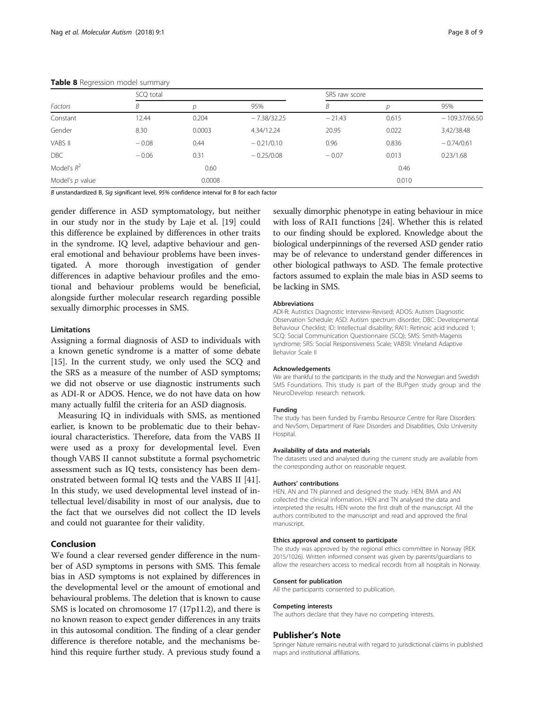| Factors           | SCQ total |        |               |          | SRS raw score |                 |      |  |
|-------------------|-----------|--------|---------------|----------|---------------|-----------------|------|--|
|                   | B         |        | 95%           | В        | $\mathcal{D}$ | 95%             |      |  |
| Constant          | 12.44     | 0.204  | $-7.38/32.25$ | $-21.43$ | 0.615         | $-109.37/66.50$ |      |  |
| Gender            | 8.30      | 0.0003 | 4.34/12.24    | 20.95    | 0.022         | 3.42/38.48      |      |  |
| VABS II           | $-0.08$   | 0.44   | $-0.21/0.10$  | 0.96     | 0.836         | $-0.74/0.61$    |      |  |
| <b>DBC</b>        | $-0.06$   | 0.31   | $-0.25/0.08$  | $-0.07$  | 0.013         | 0.23/1.68       |      |  |
| Model's $R^2$     | 0.60      |        |               |          |               |                 | 0.46 |  |
| Model's $p$ value | 0.0008    |        |               |          | 0.010         |                 |      |  |

#### <span id="page-7-0"></span>Table 8 Regression model summary

B unstandardized B, Sig significant level, 95% confidence interval for B for each factor

gender difference in ASD symptomatology, but neither in our study nor in the study by Laje et al. [[19\]](#page-8-0) could this difference be explained by differences in other traits in the syndrome. IQ level, adaptive behaviour and general emotional and behaviour problems have been investigated. A more thorough investigation of gender differences in adaptive behaviour profiles and the emotional and behaviour problems would be beneficial, alongside further molecular research regarding possible sexually dimorphic processes in SMS.

#### Limitations

Assigning a formal diagnosis of ASD to individuals with a known genetic syndrome is a matter of some debate [[15\]](#page-8-0). In the current study, we only used the SCQ and the SRS as a measure of the number of ASD symptoms; we did not observe or use diagnostic instruments such as ADI-R or ADOS. Hence, we do not have data on how many actually fulfil the criteria for an ASD diagnosis.

Measuring IQ in individuals with SMS, as mentioned earlier, is known to be problematic due to their behavioural characteristics. Therefore, data from the VABS II were used as a proxy for developmental level. Even though VABS II cannot substitute a formal psychometric assessment such as IQ tests, consistency has been demonstrated between formal IQ tests and the VABS II [\[41](#page-8-0)]. In this study, we used developmental level instead of intellectual level/disability in most of our analysis, due to the fact that we ourselves did not collect the ID levels and could not guarantee for their validity.

# Conclusion

We found a clear reversed gender difference in the number of ASD symptoms in persons with SMS. This female bias in ASD symptoms is not explained by differences in the developmental level or the amount of emotional and behavioural problems. The deletion that is known to cause SMS is located on chromosome 17 (17p11.2), and there is no known reason to expect gender differences in any traits in this autosomal condition. The finding of a clear gender difference is therefore notable, and the mechanisms behind this require further study. A previous study found a sexually dimorphic phenotype in eating behaviour in mice with loss of RAI1 functions [\[24\]](#page-8-0). Whether this is related to our finding should be explored. Knowledge about the biological underpinnings of the reversed ASD gender ratio may be of relevance to understand gender differences in other biological pathways to ASD. The female protective factors assumed to explain the male bias in ASD seems to be lacking in SMS.

#### Abbreviations

ADI-R: Autistics Diagnostic Interview-Revised; ADOS: Autism Diagnostic Observation Schedule; ASD: Autism spectrum disorder; DBC: Developmental Behaviour Checklist; ID: Intellectual disability; RAI1: Retinoic acid induced 1; SCQ: Social Communication Questionnaire (SCQ); SMS: Smith-Magenis syndrome; SRS: Social Responsiveness Scale; VABSII: Vineland Adaptive Behavior Scale II

#### **Acknowledgements**

We are thankful to the participants in the study and the Norwegian and Swedish SMS Foundations. This study is part of the BUPgen study group and the NeuroDevelop research network.

#### Funding

The study has been funded by Frambu Resource Centre for Rare Disorders and NevSom, Department of Rare Disorders and Disabilities, Oslo University Hospital.

#### Availability of data and materials

The datasets used and analysed during the current study are available from the corresponding author on reasonable request.

#### Authors' contributions

HEN, AN and TN planned and designed the study. HEN, BMA and AN collected the clinical information. HEN and TN analysed the data and interpreted the results. HEN wrote the first draft of the manuscript. All the authors contributed to the manuscript and read and approved the final manuscript.

#### Ethics approval and consent to participate

The study was approved by the regional ethics committee in Norway (REK 2015/1026). Written informed consent was given by parents/guardians to allow the researchers access to medical records from all hospitals in Norway.

#### Consent for publication

All the participants consented to publication.

#### Competing interests

The authors declare that they have no competing interests.

# Publisher's Note

Springer Nature remains neutral with regard to jurisdictional claims in published maps and institutional affiliations.